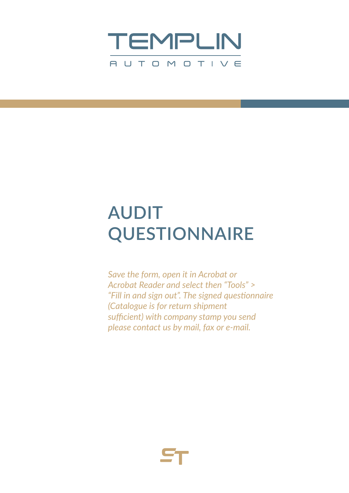

## **AUDIT QUESTIONNAIRE**

*Save the form, open it in Acrobat or Acrobat Reader and select then "Tools" > "Fill in and sign out". The signed questionnaire (Catalogue is for return shipment sufficient) with company stamp you send please contact us by mail, fax or e-mail.*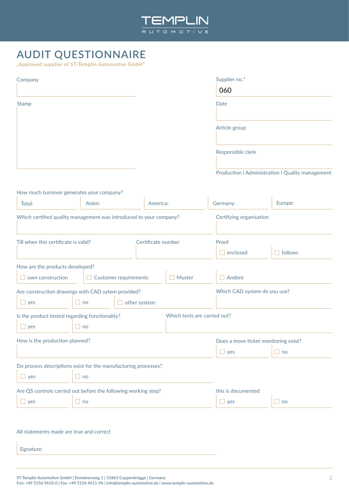

## **AUDIT QUESTIONNAIRE**

**"Approved supplier of ST-Templin Automotive GmbH"**

| Company                                                            |                              |                         |                              | Supplier no.*                        |                                                  |  |  |
|--------------------------------------------------------------------|------------------------------|-------------------------|------------------------------|--------------------------------------|--------------------------------------------------|--|--|
|                                                                    |                              |                         |                              | 060                                  |                                                  |  |  |
| <b>Stamp</b>                                                       |                              |                         |                              | Date                                 |                                                  |  |  |
|                                                                    |                              |                         |                              | Article group                        |                                                  |  |  |
|                                                                    |                              |                         |                              | Responsible clerk                    |                                                  |  |  |
|                                                                    |                              |                         |                              |                                      | Production   Administration   Quality management |  |  |
| How much turnover generates your company?                          |                              |                         |                              |                                      |                                                  |  |  |
| Total:                                                             | Asien:                       |                         | America:                     | Germany:                             | Europe:                                          |  |  |
| Which certified quality management was introduced to your company? |                              | Certifying organisation |                              |                                      |                                                  |  |  |
| Till when this certificate is valid?                               |                              | Certificate number      |                              | Proof                                |                                                  |  |  |
|                                                                    |                              |                         |                              | $\Box$ enclosed                      | $\Box$ follows                                   |  |  |
| How are the products developed?                                    |                              |                         |                              |                                      |                                                  |  |  |
| own construction                                                   | $\Box$ Customer requirements |                         | $\Box$ Muster                | $\Box$ Andere                        |                                                  |  |  |
| Are construction drawings with CAD sytem provided?                 |                              |                         |                              |                                      | Which CAD system do you use?                     |  |  |
| $\Box$ yes                                                         | $\Box$ no                    | other system:           |                              |                                      |                                                  |  |  |
| Is the product tested regarding functionality?                     |                              |                         | Which tests are carried out? |                                      |                                                  |  |  |
| $\Box$ yes                                                         | $\Box$ no                    |                         |                              |                                      |                                                  |  |  |
| How is the production planned?                                     |                              |                         |                              | Does a move ticket monitoring exist? |                                                  |  |  |
|                                                                    |                              |                         |                              | $\Box$ yes                           | $\Box$ no                                        |  |  |
| Do process descriptions exist for the manufacturing processes?     |                              |                         |                              |                                      |                                                  |  |  |
| $\Box$ yes                                                         | $\Box$ no                    |                         |                              |                                      |                                                  |  |  |
| Are QS controls carried out before the following working step?     |                              |                         |                              | this is documented                   |                                                  |  |  |
| $\Box$ yes                                                         | $\Box$ no                    |                         |                              | $\Box$ yes                           | $\Box$ no                                        |  |  |
|                                                                    |                              |                         |                              |                                      |                                                  |  |  |

All statements made are true and correct

Signature: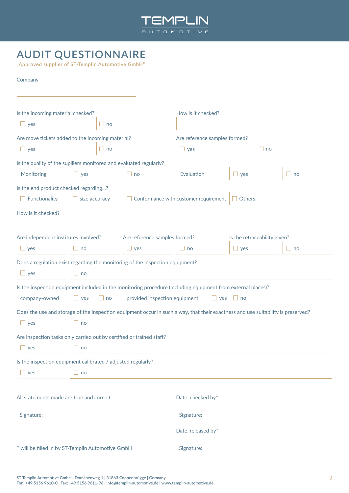

## **AUDIT QUESTIONNAIRE**

**"Approved supplier of ST-Templin Automotive GmbH"**

| Company                                                                       |                                                                                    |           |                               |                                                                                                                                  |                              |           |              |  |  |  |
|-------------------------------------------------------------------------------|------------------------------------------------------------------------------------|-----------|-------------------------------|----------------------------------------------------------------------------------------------------------------------------------|------------------------------|-----------|--------------|--|--|--|
|                                                                               |                                                                                    |           |                               |                                                                                                                                  |                              |           |              |  |  |  |
| Is the incoming material checked?                                             |                                                                                    |           |                               | How is it checked?                                                                                                               |                              |           |              |  |  |  |
| $\Box$ no<br>$\Box$ yes                                                       |                                                                                    |           |                               |                                                                                                                                  |                              |           |              |  |  |  |
| Are move tickets added to the incoming material?                              |                                                                                    |           |                               | Are reference samples formed?                                                                                                    |                              |           |              |  |  |  |
| $\Box$ yes                                                                    |                                                                                    | $\Box$ no |                               | $\Box$ yes                                                                                                                       |                              | $\Box$ no |              |  |  |  |
| Is the quality of the suplliers monitored and evaluated regularly?            |                                                                                    |           |                               |                                                                                                                                  |                              |           |              |  |  |  |
| Monitoring<br>$\Box$ yes                                                      |                                                                                    |           | $\Box$ no                     | Evaluation                                                                                                                       | $\Box$ yes                   |           | $\Box$ no    |  |  |  |
| Is the end product checked regarding?                                         |                                                                                    |           |                               |                                                                                                                                  |                              |           |              |  |  |  |
| Functionality                                                                 | size accuracy                                                                      |           |                               | Conformance with customer requirement                                                                                            | $\Box$ Others:               |           |              |  |  |  |
| How is it checked?                                                            |                                                                                    |           |                               |                                                                                                                                  |                              |           |              |  |  |  |
|                                                                               |                                                                                    |           |                               |                                                                                                                                  |                              |           |              |  |  |  |
| Are independent institutes involved?                                          |                                                                                    |           | Are reference samples formed? |                                                                                                                                  | Is the retraceability given? |           |              |  |  |  |
| $\Box$ yes                                                                    | $\Box$ no                                                                          |           | $\Box$ yes                    | $\Box$ no                                                                                                                        | $\Box$ yes                   |           | $\square$ no |  |  |  |
| Does a regulation exist regarding the monitoring of the inspection equipment? |                                                                                    |           |                               |                                                                                                                                  |                              |           |              |  |  |  |
| $\Box$ yes                                                                    | $\Box$ no                                                                          |           |                               |                                                                                                                                  |                              |           |              |  |  |  |
|                                                                               |                                                                                    |           |                               | Is the inspection equipment included in the monitoring procedure (including equipment from external places)?                     |                              |           |              |  |  |  |
| company-owned                                                                 | provided inspection equipment<br>$\Box$ no<br>H<br>$\Box$ yes<br>yes<br>$\perp$ no |           |                               |                                                                                                                                  |                              |           |              |  |  |  |
|                                                                               |                                                                                    |           |                               | Does the use and storage of the inspection equipment occur in such a way, that their exactness and use suitability is preserved? |                              |           |              |  |  |  |
| $\Box$ yes<br>$\Box$ no                                                       |                                                                                    |           |                               |                                                                                                                                  |                              |           |              |  |  |  |
| Are inspection tasks only carried out by certified or trained staff?          |                                                                                    |           |                               |                                                                                                                                  |                              |           |              |  |  |  |
| $\Box$ no<br>$\Box$ yes                                                       |                                                                                    |           |                               |                                                                                                                                  |                              |           |              |  |  |  |
| Is the inspection equipment calibrated / adjusted regularly?                  |                                                                                    |           |                               |                                                                                                                                  |                              |           |              |  |  |  |
| $\Box$ no<br>$\Box$ yes                                                       |                                                                                    |           |                               |                                                                                                                                  |                              |           |              |  |  |  |
|                                                                               |                                                                                    |           |                               |                                                                                                                                  |                              |           |              |  |  |  |
| All statements made are true and correct                                      |                                                                                    |           |                               | Date, checked by*                                                                                                                |                              |           |              |  |  |  |
| Signature:                                                                    |                                                                                    |           |                               | Signature:                                                                                                                       |                              |           |              |  |  |  |
|                                                                               |                                                                                    |           |                               | Date, released by*                                                                                                               |                              |           |              |  |  |  |
| * will be filled in by ST-Templin Automotive GmbH                             |                                                                                    |           | Signature:                    |                                                                                                                                  |                              |           |              |  |  |  |
|                                                                               |                                                                                    |           |                               |                                                                                                                                  |                              |           |              |  |  |  |